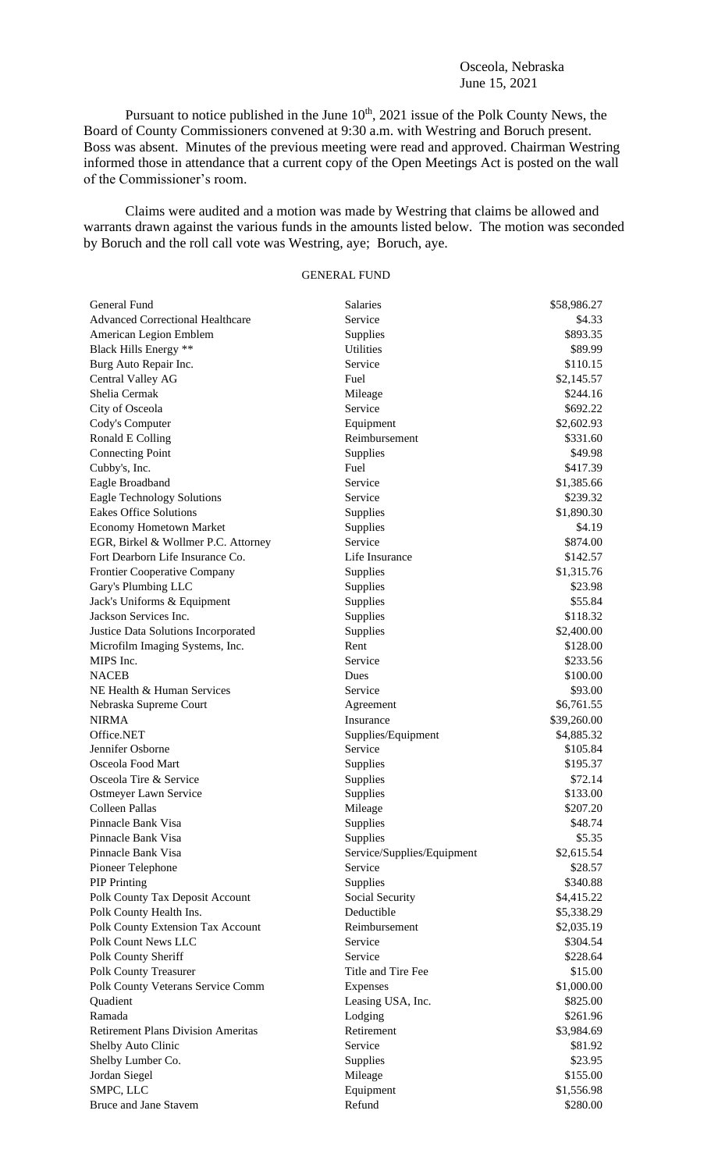## Osceola, Nebraska June 15, 2021

Pursuant to notice published in the June  $10<sup>th</sup>$ , 2021 issue of the Polk County News, the Board of County Commissioners convened at 9:30 a.m. with Westring and Boruch present. Boss was absent. Minutes of the previous meeting were read and approved. Chairman Westring informed those in attendance that a current copy of the Open Meetings Act is posted on the wall of the Commissioner's room.

Claims were audited and a motion was made by Westring that claims be allowed and warrants drawn against the various funds in the amounts listed below. The motion was seconded by Boruch and the roll call vote was Westring, aye; Boruch, aye.

## GENERAL FUND

| General Fund                              | <b>Salaries</b>            | \$58,986.27            |
|-------------------------------------------|----------------------------|------------------------|
| <b>Advanced Correctional Healthcare</b>   | Service                    | \$4.33                 |
| American Legion Emblem                    | Supplies                   | \$893.35               |
| Black Hills Energy **                     | Utilities                  | \$89.99                |
| Burg Auto Repair Inc.                     | Service                    | \$110.15               |
| Central Valley AG                         | Fuel                       | \$2,145.57             |
| Shelia Cermak                             | Mileage                    | \$244.16               |
| City of Osceola                           | Service                    | \$692.22               |
| Cody's Computer                           | Equipment                  | \$2,602.93             |
| Ronald E Colling                          | Reimbursement              | \$331.60               |
| <b>Connecting Point</b>                   | Supplies                   | \$49.98                |
| Cubby's, Inc.                             | Fuel                       | \$417.39               |
| Eagle Broadband                           | Service                    | \$1,385.66             |
| Eagle Technology Solutions                | Service                    | \$239.32               |
| <b>Eakes Office Solutions</b>             | Supplies                   | \$1,890.30             |
| <b>Economy Hometown Market</b>            | Supplies                   | \$4.19                 |
| EGR, Birkel & Wollmer P.C. Attorney       | Service                    | \$874.00               |
| Fort Dearborn Life Insurance Co.          | Life Insurance             | \$142.57               |
| Frontier Cooperative Company              | Supplies                   | \$1,315.76             |
| Gary's Plumbing LLC                       | Supplies                   | \$23.98                |
| Jack's Uniforms & Equipment               | Supplies                   | \$55.84                |
| Jackson Services Inc.                     | Supplies                   | \$118.32               |
| Justice Data Solutions Incorporated       | Supplies                   | \$2,400.00             |
| Microfilm Imaging Systems, Inc.           | Rent                       | \$128.00               |
| MIPS Inc.                                 | Service                    | \$233.56               |
| <b>NACEB</b>                              | Dues                       | \$100.00               |
| NE Health & Human Services                | Service                    | \$93.00                |
| Nebraska Supreme Court                    | Agreement                  | \$6,761.55             |
| <b>NIRMA</b>                              | Insurance                  | \$39,260.00            |
| Office.NET                                | Supplies/Equipment         | \$4,885.32             |
| Jennifer Osborne                          | Service                    | \$105.84               |
| Osceola Food Mart                         | Supplies                   | \$195.37               |
| Osceola Tire & Service                    | Supplies                   | \$72.14                |
| Ostmeyer Lawn Service                     | Supplies                   | \$133.00               |
| Colleen Pallas                            | Mileage                    | \$207.20               |
| Pinnacle Bank Visa                        | Supplies                   | \$48.74                |
| Pinnacle Bank Visa                        | Supplies                   | \$5.35                 |
| Pinnacle Bank Visa                        | Service/Supplies/Equipment | \$2,615.54             |
| Pioneer Telephone                         | Service                    | \$28.57                |
| <b>PIP</b> Printing                       | Supplies                   | \$340.88               |
| Polk County Tax Deposit Account           | Social Security            | \$4,415.22             |
| Polk County Health Ins.                   | Deductible                 | \$5,338.29             |
| Polk County Extension Tax Account         | Reimbursement              | \$2,035.19             |
| Polk Count News LLC                       | Service                    | \$304.54               |
| Polk County Sheriff                       | Service                    | \$228.64               |
| Polk County Treasurer                     | Title and Tire Fee         | \$15.00                |
| Polk County Veterans Service Comm         | Expenses                   | \$1,000.00             |
| Quadient                                  | Leasing USA, Inc.          | \$825.00               |
| Ramada                                    | Lodging                    | \$261.96               |
| <b>Retirement Plans Division Ameritas</b> | Retirement                 | \$3,984.69             |
| Shelby Auto Clinic                        | Service                    | \$81.92                |
| Shelby Lumber Co.                         | Supplies                   | \$23.95                |
| Jordan Siegel                             | Mileage                    | \$155.00               |
| SMPC, LLC                                 |                            |                        |
| Bruce and Jane Stavem                     | Equipment<br>Refund        | \$1,556.98<br>\$280.00 |
|                                           |                            |                        |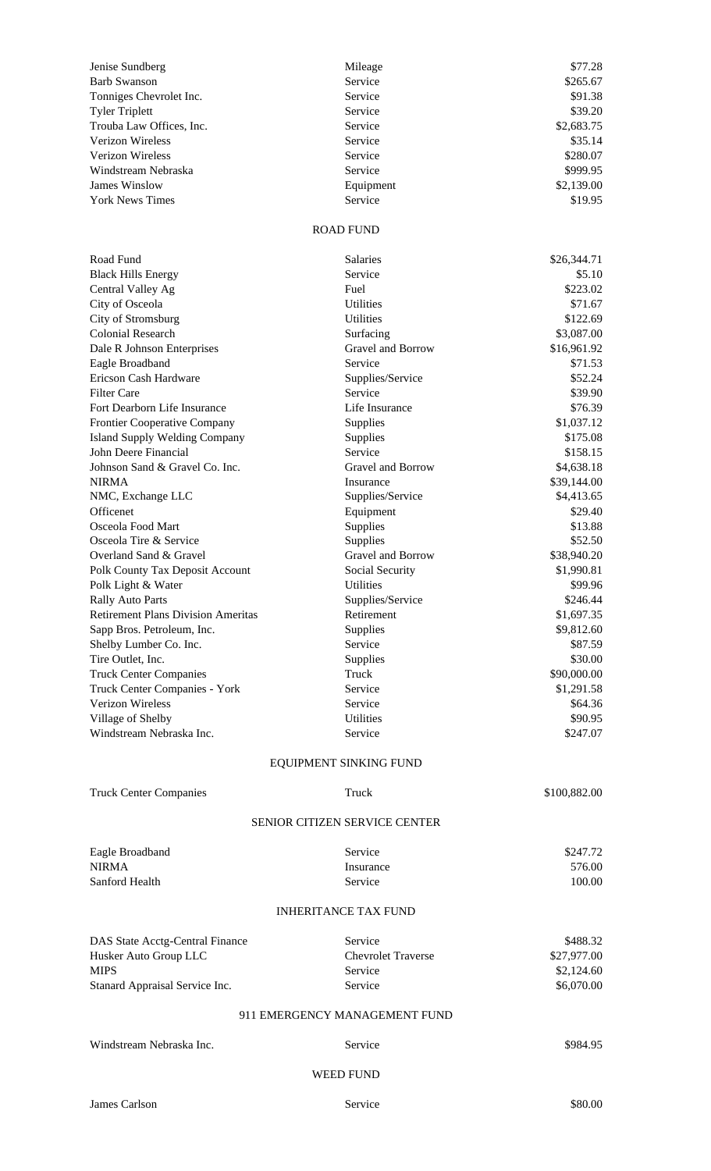| Jenise Sundberg<br>Barb Swanson           | Mileage<br>Service            | \$77.28<br>\$265.67   |  |  |
|-------------------------------------------|-------------------------------|-----------------------|--|--|
| Tonniges Chevrolet Inc.                   | Service                       | \$91.38               |  |  |
| <b>Tyler Triplett</b>                     | Service                       | \$39.20               |  |  |
| Trouba Law Offices, Inc.                  | Service                       | \$2,683.75            |  |  |
| <b>Verizon Wireless</b>                   | Service                       | \$35.14               |  |  |
| <b>Verizon Wireless</b>                   | Service                       | \$280.07              |  |  |
| Windstream Nebraska                       | Service                       | \$999.95              |  |  |
| <b>James Winslow</b>                      | Equipment                     | \$2,139.00            |  |  |
| <b>York News Times</b>                    | Service                       | \$19.95               |  |  |
| <b>ROAD FUND</b>                          |                               |                       |  |  |
| Road Fund                                 | Salaries                      | \$26,344.71           |  |  |
| <b>Black Hills Energy</b>                 | Service                       | \$5.10                |  |  |
| Central Valley Ag                         | Fuel                          | \$223.02              |  |  |
| City of Osceola                           | <b>Utilities</b>              | \$71.67               |  |  |
| City of Stromsburg                        | Utilities                     | \$122.69              |  |  |
| <b>Colonial Research</b>                  | Surfacing                     | \$3,087.00            |  |  |
| Dale R Johnson Enterprises                | Gravel and Borrow             | \$16,961.92           |  |  |
| Eagle Broadband                           | Service                       | \$71.53               |  |  |
| Ericson Cash Hardware                     | Supplies/Service              | \$52.24               |  |  |
| <b>Filter Care</b>                        | Service                       | \$39.90               |  |  |
| Fort Dearborn Life Insurance              | Life Insurance                | \$76.39               |  |  |
| Frontier Cooperative Company              | Supplies                      | \$1,037.12            |  |  |
| <b>Island Supply Welding Company</b>      | Supplies                      | \$175.08              |  |  |
| John Deere Financial                      | Service                       | \$158.15              |  |  |
| Johnson Sand & Gravel Co. Inc.            | Gravel and Borrow             | \$4,638.18            |  |  |
| <b>NIRMA</b>                              | Insurance                     | \$39,144.00           |  |  |
| NMC, Exchange LLC<br>Officenet            | Supplies/Service<br>Equipment | \$4,413.65<br>\$29.40 |  |  |
| Osceola Food Mart                         | Supplies                      | \$13.88               |  |  |
| Osceola Tire & Service                    | Supplies                      | \$52.50               |  |  |
| Overland Sand & Gravel                    | Gravel and Borrow             | \$38,940.20           |  |  |
| Polk County Tax Deposit Account           | Social Security               | \$1,990.81            |  |  |
| Polk Light & Water                        | Utilities                     | \$99.96               |  |  |
| <b>Rally Auto Parts</b>                   | Supplies/Service              | \$246.44              |  |  |
| <b>Retirement Plans Division Ameritas</b> | Retirement                    | \$1,697.35            |  |  |
| Sapp Bros. Petroleum, Inc.                | Supplies                      | \$9,812.60            |  |  |
| Shelby Lumber Co. Inc.                    | Service                       | \$87.59               |  |  |
| Tire Outlet, Inc.                         | Supplies                      | \$30.00               |  |  |
| <b>Truck Center Companies</b>             | Truck                         | \$90,000.00           |  |  |
| Truck Center Companies - York             | Service                       | \$1,291.58            |  |  |
| Verizon Wireless                          | Service                       | \$64.36               |  |  |
| Village of Shelby                         | <b>Utilities</b>              | \$90.95               |  |  |
| Windstream Nebraska Inc.                  | Service                       | \$247.07              |  |  |
|                                           | EQUIPMENT SINKING FUND        |                       |  |  |
| <b>Truck Center Companies</b>             | Truck                         | \$100,882.00          |  |  |
| <b>SENIOR CITIZEN SERVICE CENTER</b>      |                               |                       |  |  |
| Eagle Broadband                           | Service                       | \$247.72              |  |  |
| <b>NIRMA</b>                              | Insurance                     | 576.00                |  |  |
| Sanford Health                            | Service                       | 100.00                |  |  |
|                                           | <b>INHERITANCE TAX FUND</b>   |                       |  |  |
| DAS State Acctg-Central Finance           | Service                       | \$488.32              |  |  |
| Husker Auto Group LLC                     | <b>Chevrolet Traverse</b>     | \$27,977.00           |  |  |
| <b>MIPS</b>                               | Service                       | \$2,124.60            |  |  |
| Stanard Appraisal Service Inc.            | Service                       | \$6,070.00            |  |  |
| 911 EMERGENCY MANAGEMENT FUND             |                               |                       |  |  |
| Windstream Nebraska Inc.                  | Service                       | \$984.95              |  |  |
|                                           | <b>WEED FUND</b>              |                       |  |  |